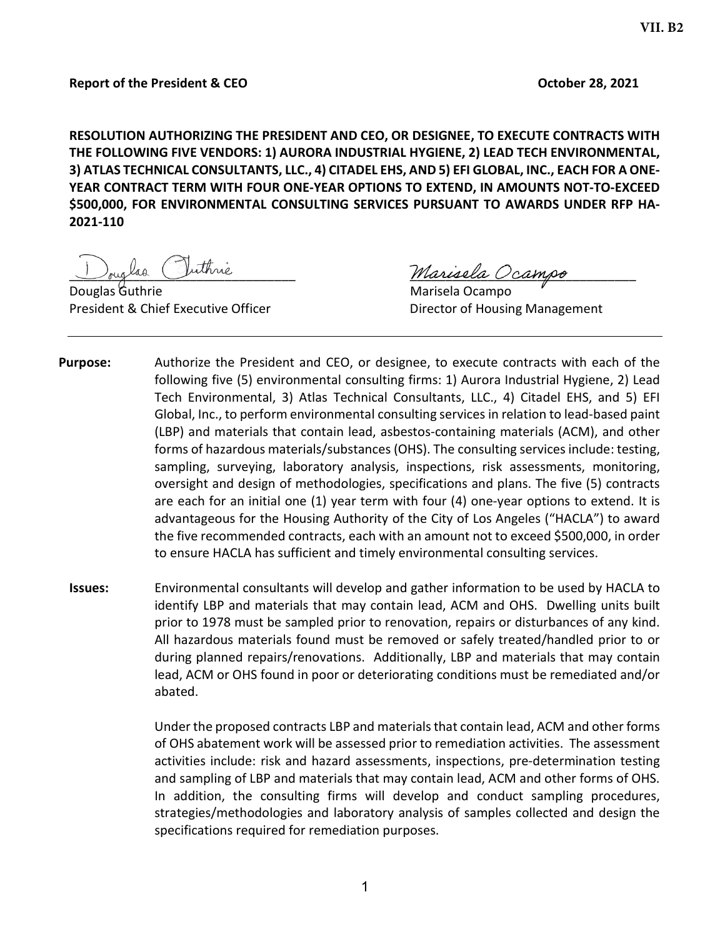#### Report of the President & CEO **October 28, 2021**

RESOLUTION AUTHORIZING THE PRESIDENT AND CEO, OR DESIGNEE, TO EXECUTE CONTRACTS WITH THE FOLLOWING FIVE VENDORS: 1) AURORA INDUSTRIAL HYGIENE, 2) LEAD TECH ENVIRONMENTAL, 3) ATLAS TECHNICAL CONSULTANTS, LLC., 4) CITADEL EHS, AND 5) EFI GLOBAL, INC., EACH FOR A ONE-YEAR CONTRACT TERM WITH FOUR ONE-YEAR OPTIONS TO EXTEND, IN AMOUNTS NOT-TO-EXCEED \$500,000, FOR ENVIRONMENTAL CONSULTING SERVICES PURSUANT TO AWARDS UNDER RFP HA-2021-110

Douglas Guthrie **Marisela Ocampo** President & Chief Executive Officer **Director of Housing Management** 

Douglas Juinne

- Purpose: Authorize the President and CEO, or designee, to execute contracts with each of the following five (5) environmental consulting firms: 1) Aurora Industrial Hygiene, 2) Lead Tech Environmental, 3) Atlas Technical Consultants, LLC., 4) Citadel EHS, and 5) EFI Global, Inc., to perform environmental consulting services in relation to lead-based paint (LBP) and materials that contain lead, asbestos-containing materials (ACM), and other forms of hazardous materials/substances (OHS). The consulting services include: testing, sampling, surveying, laboratory analysis, inspections, risk assessments, monitoring, oversight and design of methodologies, specifications and plans. The five (5) contracts are each for an initial one (1) year term with four (4) one-year options to extend. It is advantageous for the Housing Authority of the City of Los Angeles ("HACLA") to award the five recommended contracts, each with an amount not to exceed \$500,000, in order to ensure HACLA has sufficient and timely environmental consulting services.
	- Issues: Environmental consultants will develop and gather information to be used by HACLA to identify LBP and materials that may contain lead, ACM and OHS. Dwelling units built prior to 1978 must be sampled prior to renovation, repairs or disturbances of any kind. All hazardous materials found must be removed or safely treated/handled prior to or during planned repairs/renovations. Additionally, LBP and materials that may contain lead, ACM or OHS found in poor or deteriorating conditions must be remediated and/or abated.

Under the proposed contracts LBP and materials that contain lead, ACM and other forms of OHS abatement work will be assessed prior to remediation activities. The assessment activities include: risk and hazard assessments, inspections, pre-determination testing and sampling of LBP and materials that may contain lead, ACM and other forms of OHS. In addition, the consulting firms will develop and conduct sampling procedures, strategies/methodologies and laboratory analysis of samples collected and design the specifications required for remediation purposes.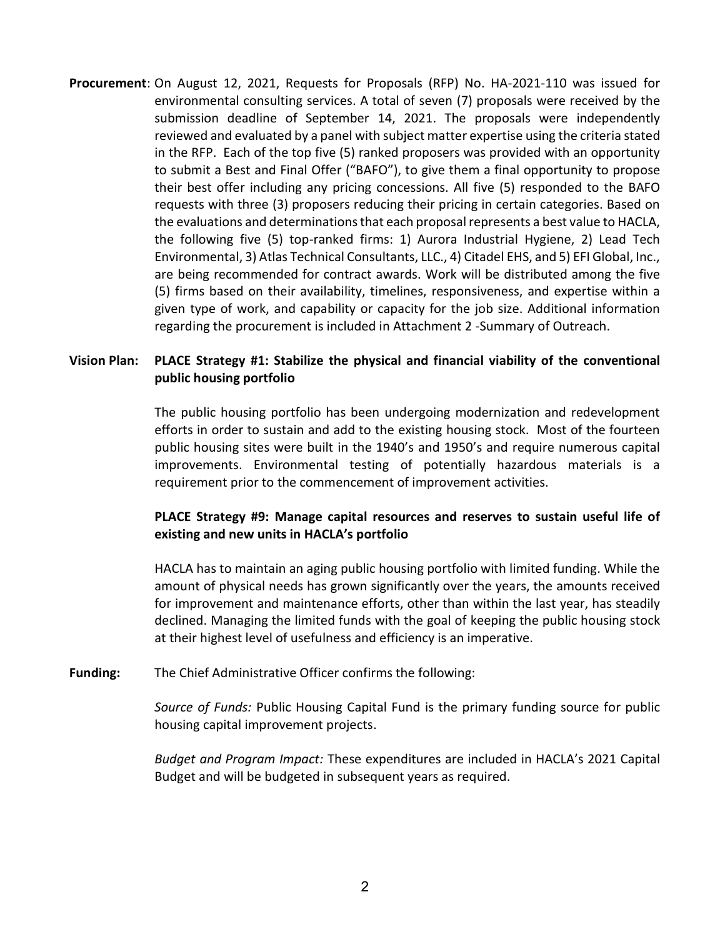Procurement: On August 12, 2021, Requests for Proposals (RFP) No. HA-2021-110 was issued for environmental consulting services. A total of seven (7) proposals were received by the submission deadline of September 14, 2021. The proposals were independently reviewed and evaluated by a panel with subject matter expertise using the criteria stated in the RFP. Each of the top five (5) ranked proposers was provided with an opportunity to submit a Best and Final Offer ("BAFO"), to give them a final opportunity to propose their best offer including any pricing concessions. All five (5) responded to the BAFO requests with three (3) proposers reducing their pricing in certain categories. Based on the evaluations and determinations that each proposal represents a best value to HACLA, the following five (5) top-ranked firms: 1) Aurora Industrial Hygiene, 2) Lead Tech Environmental, 3) Atlas Technical Consultants, LLC., 4) Citadel EHS, and 5) EFI Global, Inc., are being recommended for contract awards. Work will be distributed among the five (5) firms based on their availability, timelines, responsiveness, and expertise within a given type of work, and capability or capacity for the job size. Additional information regarding the procurement is included in Attachment 2 -Summary of Outreach.

# Vision Plan: PLACE Strategy #1: Stabilize the physical and financial viability of the conventional public housing portfolio

The public housing portfolio has been undergoing modernization and redevelopment efforts in order to sustain and add to the existing housing stock. Most of the fourteen public housing sites were built in the 1940's and 1950's and require numerous capital improvements. Environmental testing of potentially hazardous materials is a requirement prior to the commencement of improvement activities.

# PLACE Strategy #9: Manage capital resources and reserves to sustain useful life of existing and new units in HACLA's portfolio

HACLA has to maintain an aging public housing portfolio with limited funding. While the amount of physical needs has grown significantly over the years, the amounts received for improvement and maintenance efforts, other than within the last year, has steadily declined. Managing the limited funds with the goal of keeping the public housing stock at their highest level of usefulness and efficiency is an imperative.

Funding: The Chief Administrative Officer confirms the following:

Source of Funds: Public Housing Capital Fund is the primary funding source for public housing capital improvement projects.

Budget and Program Impact: These expenditures are included in HACLA's 2021 Capital Budget and will be budgeted in subsequent years as required.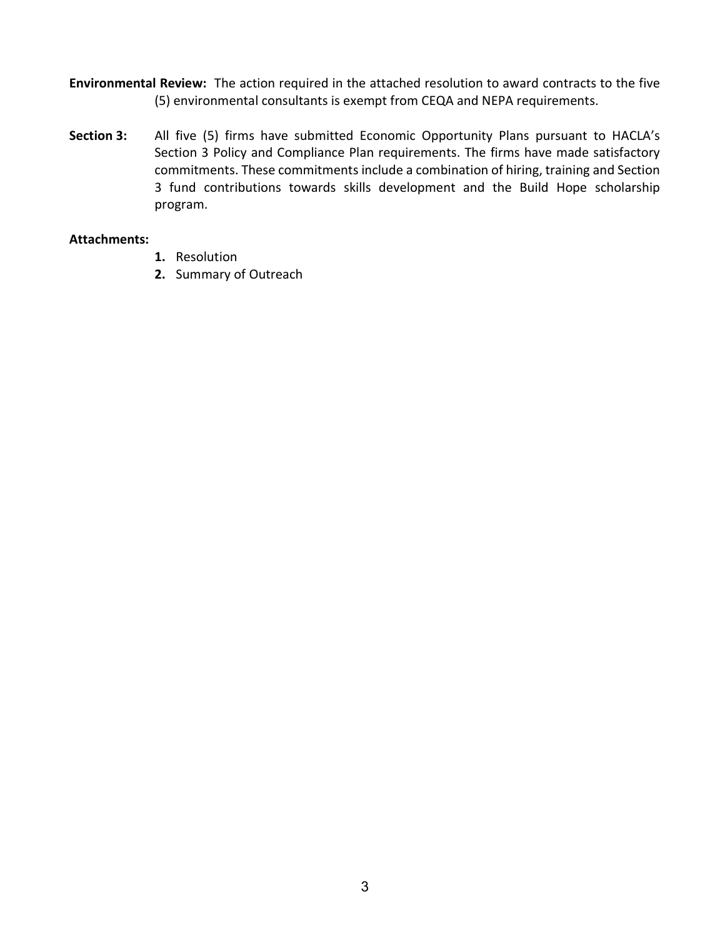- Environmental Review: The action required in the attached resolution to award contracts to the five (5) environmental consultants is exempt from CEQA and NEPA requirements.
- Section 3: All five (5) firms have submitted Economic Opportunity Plans pursuant to HACLA's Section 3 Policy and Compliance Plan requirements. The firms have made satisfactory commitments. These commitments include a combination of hiring, training and Section 3 fund contributions towards skills development and the Build Hope scholarship program.

#### Attachments:

- 1. Resolution
- 2. Summary of Outreach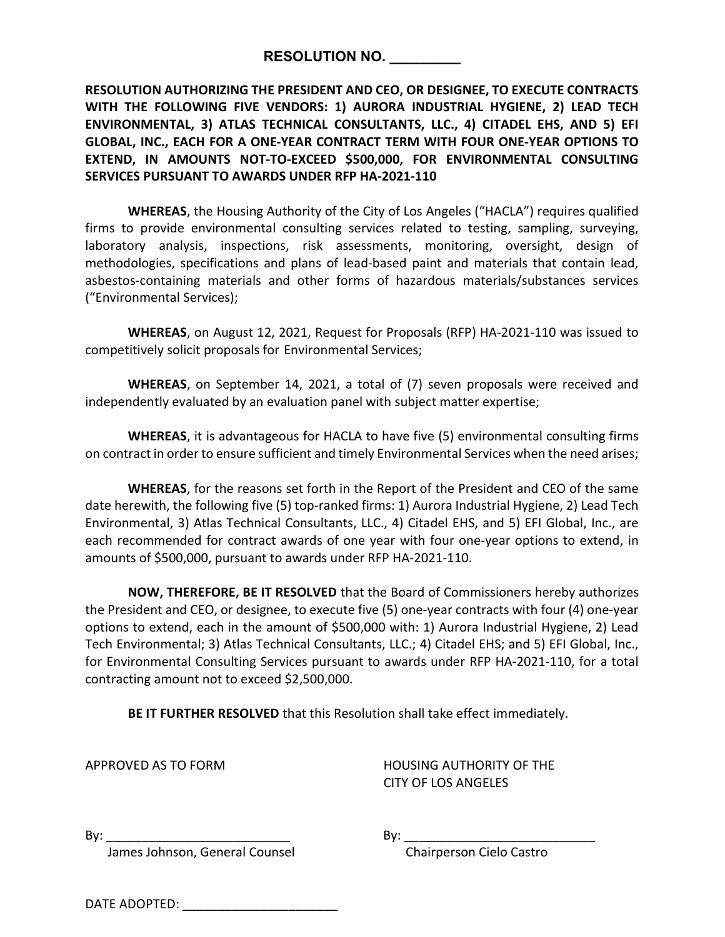RESOLUTION NO.

RESOLUTION AUTHORIZING THE PRESIDENT AND CEO, OR DESIGNEE, TO EXECUTE CONTRACTS WITH THE FOLLOWING FIVE VENDORS: 1) AURORA INDUSTRIAL HYGIENE, 2) LEAD TECH ENVIRONMENTAL, 3) ATLAS TECHNICAL CONSULTANTS, LLC., 4) CITADEL EHS, AND 5) EFI GLOBAL, INC., EACH FOR A ONE-YEAR CONTRACT TERM WITH FOUR ONE-YEAR OPTIONS TO EXTEND, IN AMOUNTS NOT-TO-EXCEED \$500,000, FOR ENVIRONMENTAL CONSULTING SERVICES PURSUANT TO AWARDS UNDER RFP HA-2021-110

WHEREAS, the Housing Authority of the City of Los Angeles ("HACLA") requires qualified firms to provide environmental consulting services related to testing, sampling, surveying, laboratory analysis, inspections, risk assessments, monitoring, oversight, design of methodologies, specifications and plans of lead-based paint and materials that contain lead, asbestos-containing materials and other forms of hazardous materials/substances services ("Environmental Services);

WHEREAS, on August 12, 2021, Request for Proposals (RFP) HA-2021-110 was issued to competitively solicit proposals for Environmental Services;

WHEREAS, on September 14, 2021, a total of (7) seven proposals were received and independently evaluated by an evaluation panel with subject matter expertise;

WHEREAS, it is advantageous for HACLA to have five (5) environmental consulting firms on contract in order to ensure sufficient and timely Environmental Services when the need arises;

WHEREAS, for the reasons set forth in the Report of the President and CEO of the same date herewith, the following five (5) top-ranked firms: 1) Aurora Industrial Hygiene, 2) Lead Tech Environmental, 3) Atlas Technical Consultants, LLC., 4) Citadel EHS, and 5) EFI Global, Inc., are each recommended for contract awards of one year with four one-year options to extend, in amounts of \$500,000, pursuant to awards under RFP HA-2021-110.

NOW, THEREFORE, BE IT RESOLVED that the Board of Commissioners hereby authorizes the President and CEO, or designee, to execute five (5) one-year contracts with four (4) one-year options to extend, each in the amount of \$500,000 with: 1) Aurora Industrial Hygiene, 2) Lead Tech Environmental; 3) Atlas Technical Consultants, LLC.; 4) Citadel EHS; and 5) EFI Global, Inc., for Environmental Consulting Services pursuant to awards under RFP HA-2021-110, for a total contracting amount not to exceed \$2,500,000.

BE IT FURTHER RESOLVED that this Resolution shall take effect immediately.

APPROVED AS TO FORM HOUSING AUTHORITY OF THE CITY OF LOS ANGELES

James Johnson, General Counsel Chairperson Cielo Castro

By: \_\_\_\_\_\_\_\_\_\_\_\_\_\_\_\_\_\_\_\_\_\_\_\_\_\_ By: \_\_\_\_\_\_\_\_\_\_\_\_\_\_\_\_\_\_\_\_\_\_\_\_\_\_\_

| DATE ADOPTED: |  |
|---------------|--|
|               |  |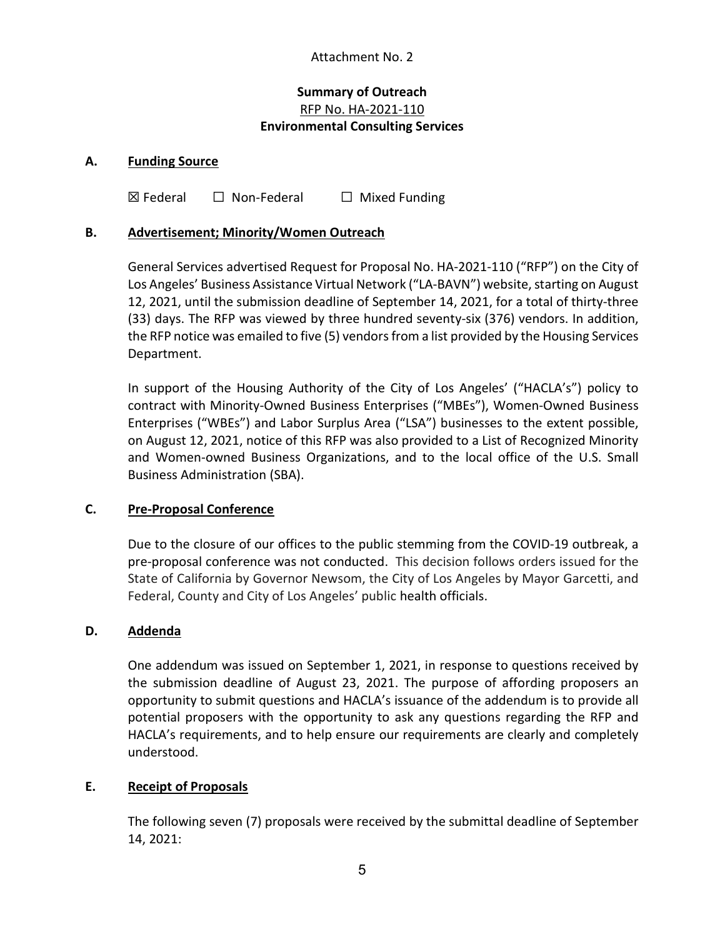## Attachment No. 2

# Summary of Outreach RFP No. HA-2021-110 Environmental Consulting Services

#### A. Funding Source

 $\boxtimes$  Federal  $\Box$  Non-Federal  $\Box$  Mixed Funding

#### B. Advertisement; Minority/Women Outreach

General Services advertised Request for Proposal No. HA-2021-110 ("RFP") on the City of Los Angeles' Business Assistance Virtual Network ("LA-BAVN") website, starting on August 12, 2021, until the submission deadline of September 14, 2021, for a total of thirty-three (33) days. The RFP was viewed by three hundred seventy-six (376) vendors. In addition, the RFP notice was emailed to five (5) vendors from a list provided by the Housing Services Department.

In support of the Housing Authority of the City of Los Angeles' ("HACLA's") policy to contract with Minority-Owned Business Enterprises ("MBEs"), Women-Owned Business Enterprises ("WBEs") and Labor Surplus Area ("LSA") businesses to the extent possible, on August 12, 2021, notice of this RFP was also provided to a List of Recognized Minority and Women-owned Business Organizations, and to the local office of the U.S. Small Business Administration (SBA).

## C. Pre-Proposal Conference

Due to the closure of our offices to the public stemming from the COVID-19 outbreak, a pre-proposal conference was not conducted. This decision follows orders issued for the State of California by Governor Newsom, the City of Los Angeles by Mayor Garcetti, and Federal, County and City of Los Angeles' public health officials.

## D. Addenda

One addendum was issued on September 1, 2021, in response to questions received by the submission deadline of August 23, 2021. The purpose of affording proposers an opportunity to submit questions and HACLA's issuance of the addendum is to provide all potential proposers with the opportunity to ask any questions regarding the RFP and HACLA's requirements, and to help ensure our requirements are clearly and completely understood.

## E. Receipt of Proposals

The following seven (7) proposals were received by the submittal deadline of September 14, 2021: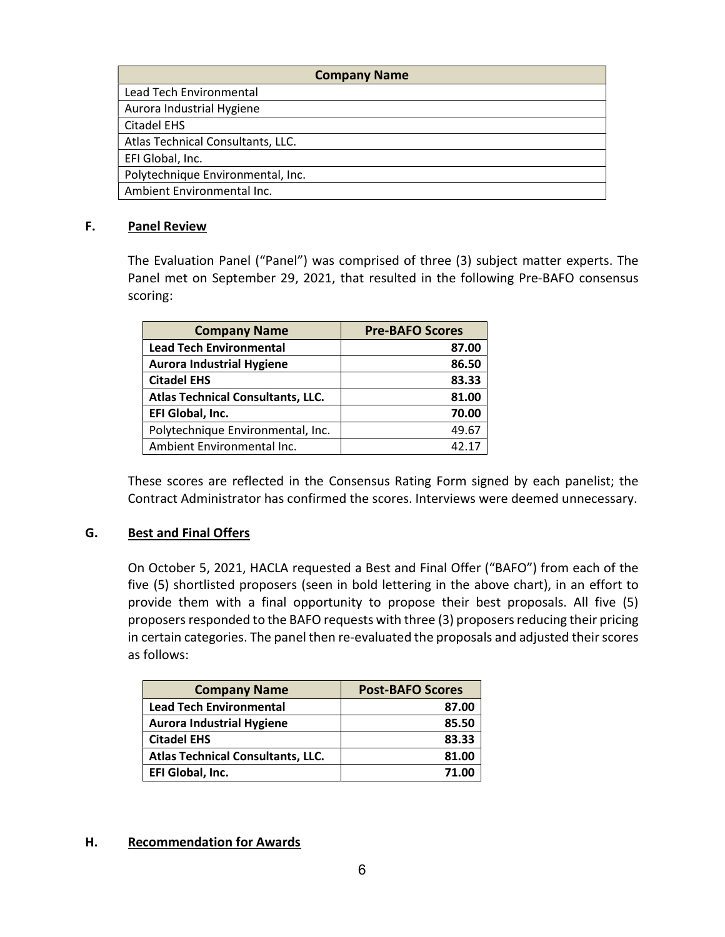| <b>Company Name</b>               |  |  |
|-----------------------------------|--|--|
| Lead Tech Environmental           |  |  |
| Aurora Industrial Hygiene         |  |  |
| <b>Citadel EHS</b>                |  |  |
| Atlas Technical Consultants, LLC. |  |  |
| EFI Global, Inc.                  |  |  |
| Polytechnique Environmental, Inc. |  |  |
| Ambient Environmental Inc.        |  |  |

#### F. Panel Review

The Evaluation Panel ("Panel") was comprised of three (3) subject matter experts. The Panel met on September 29, 2021, that resulted in the following Pre-BAFO consensus scoring:

| <b>Company Name</b>                      | <b>Pre-BAFO Scores</b> |
|------------------------------------------|------------------------|
| <b>Lead Tech Environmental</b>           | 87.00                  |
| <b>Aurora Industrial Hygiene</b>         | 86.50                  |
| <b>Citadel EHS</b>                       | 83.33                  |
| <b>Atlas Technical Consultants, LLC.</b> | 81.00                  |
| EFI Global, Inc.                         | 70.00                  |
| Polytechnique Environmental, Inc.        | 49.67                  |
| Ambient Environmental Inc.               | 42.17                  |

These scores are reflected in the Consensus Rating Form signed by each panelist; the Contract Administrator has confirmed the scores. Interviews were deemed unnecessary.

## G. Best and Final Offers

On October 5, 2021, HACLA requested a Best and Final Offer ("BAFO") from each of the five (5) shortlisted proposers (seen in bold lettering in the above chart), in an effort to provide them with a final opportunity to propose their best proposals. All five (5) proposers responded to the BAFO requests with three (3) proposers reducing their pricing in certain categories. The panel then re-evaluated the proposals and adjusted their scores as follows:

| <b>Company Name</b>                      | <b>Post-BAFO Scores</b> |  |
|------------------------------------------|-------------------------|--|
| <b>Lead Tech Environmental</b>           | 87.00                   |  |
| <b>Aurora Industrial Hygiene</b>         | 85.50                   |  |
| <b>Citadel EHS</b>                       | 83.33                   |  |
| <b>Atlas Technical Consultants, LLC.</b> | 81.00                   |  |
| EFI Global, Inc.                         | 71.00                   |  |

#### H. Recommendation for Awards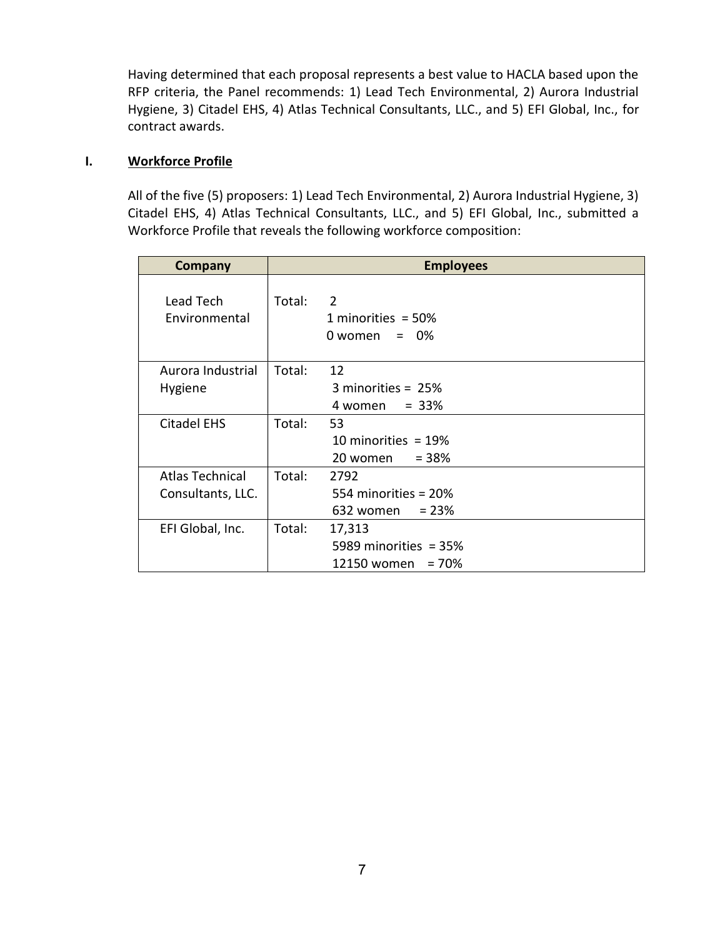Having determined that each proposal represents a best value to HACLA based upon the RFP criteria, the Panel recommends: 1) Lead Tech Environmental, 2) Aurora Industrial Hygiene, 3) Citadel EHS, 4) Atlas Technical Consultants, LLC., and 5) EFI Global, Inc., for contract awards.

# I. Workforce Profile

All of the five (5) proposers: 1) Lead Tech Environmental, 2) Aurora Industrial Hygiene, 3) Citadel EHS, 4) Atlas Technical Consultants, LLC., and 5) EFI Global, Inc., submitted a Workforce Profile that reveals the following workforce composition:

| <b>Company</b>                              | <b>Employees</b> |                                                            |
|---------------------------------------------|------------------|------------------------------------------------------------|
| Lead Tech<br>Environmental                  | Total:           | 2<br>1 minorities = $50\%$<br>$0$ women = $0\%$            |
| Aurora Industrial<br>Hygiene                | Total:           | 12<br>3 minorities = $25%$<br>$4$ women = $33\%$           |
| <b>Citadel EHS</b>                          | Total:           | 53<br>10 minorities = $19%$<br>$= 38%$<br>20 women         |
| <b>Atlas Technical</b><br>Consultants, LLC. | Total:           | 2792<br>554 minorities = 20%<br>632 women = $23%$          |
| EFI Global, Inc.                            | Total:           | 17,313<br>5989 minorities = $35\%$<br>12150 women = $70\%$ |